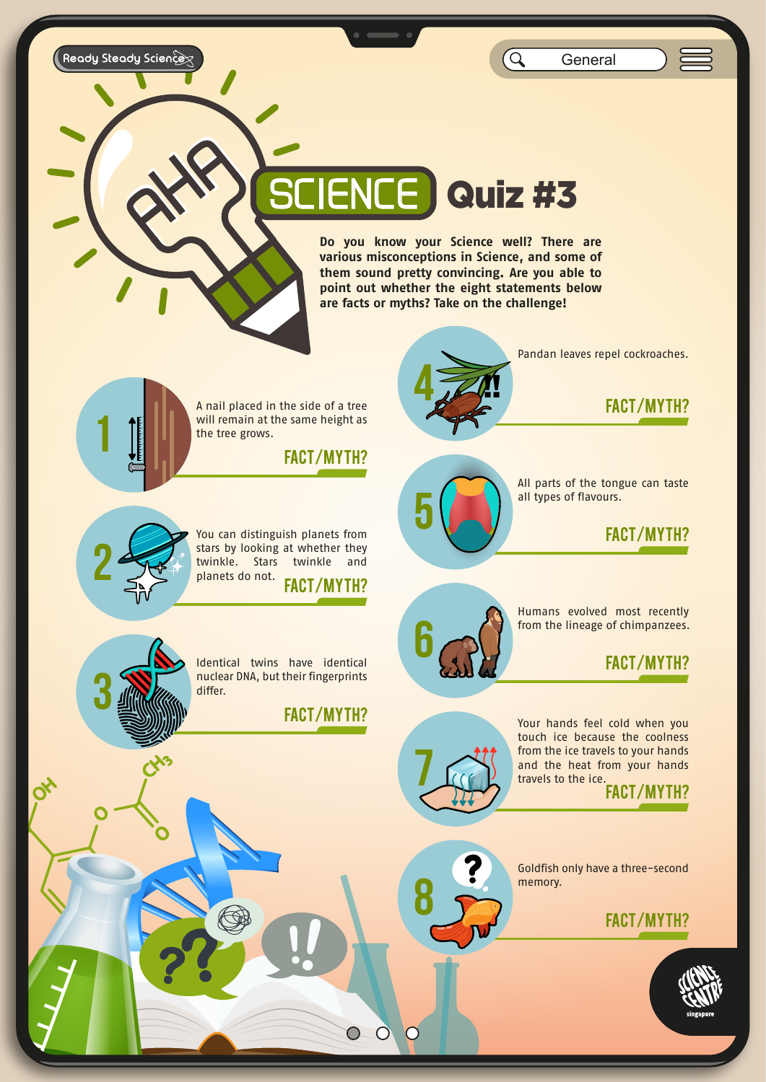Ready Steady Science

Q **General** 

# **IENCE Quiz #3**

**Do you know your Science well? There are various misconceptions in Science, and some of them sound pretty convincing. Are you able to point out whether the eight statements below are facts or myths? Take on the challenge!**

A nail placed in the side of a tree will remain at the same height as<br>the tree grows.<br>**FACT/MYTH?** the tree grows.



Pandan leaves repel cockroaches.

FACT/MYTH?



**1**

FACT/MYTH? You can distinguish planets from stars by looking at whether they twinkle. Stars twinkle and planets do not.



All parts of the tongue can taste all types of flavours.

#### FACT/MYTH?

**6** Humans evolved most recently



Identical twins have identical nuclear DNA, but their fingerprints differ.

**?? !!**

FACT/MYTH?



 $\overline{O}$ 

 $\overline{O}$ 

 $\overline{O}$ 

Your hands feel cold when you touch ice because the coolness from the ice travels to your hands and the heat from your hands travels to the ice.

FACT/MYTH?

Goldfish only have a three-second memory. **8 Property. BUCH THACT/MYTH?** 



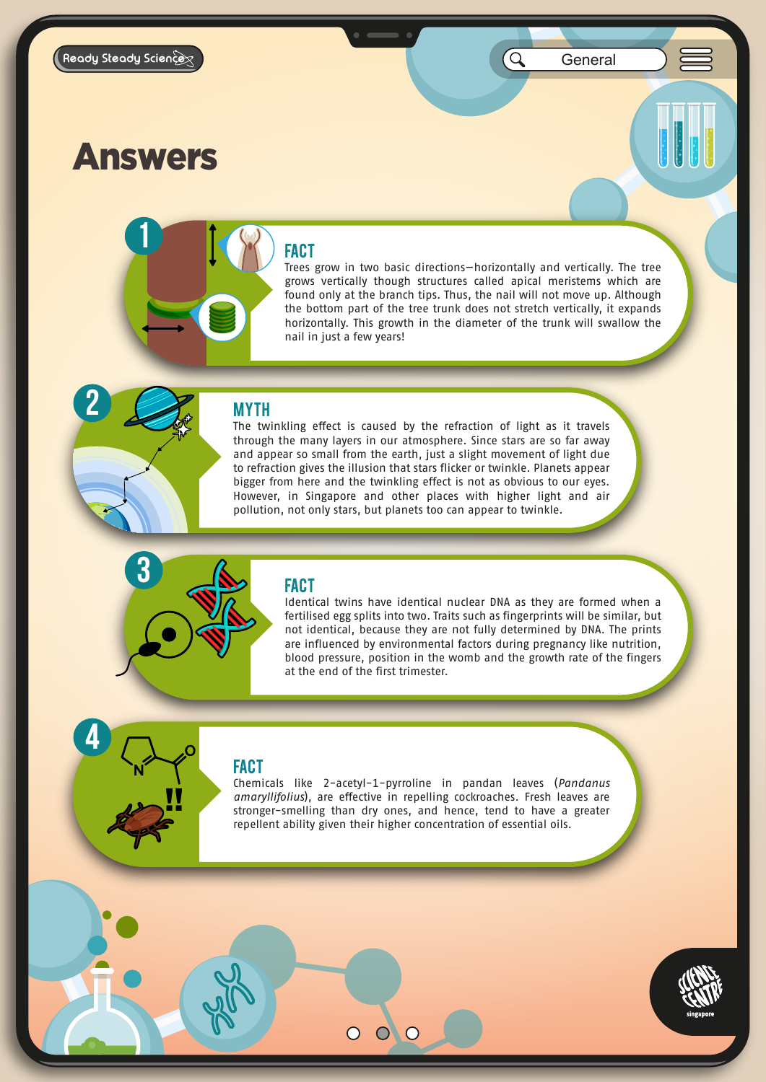**2**

**4**

Q

### Answers

**3**

!!

## **D 1**

Trees grow in two basic directions—horizontally and vertically. The tree grows vertically though structures called apical meristems which are found only at the branch tips. Thus, the nail will not move up. Although the bottom part of the tree trunk does not stretch vertically, it expands horizontally. This growth in the diameter of the trunk will swallow the nail in just a few years!

#### **MYTH**

The twinkling effect is caused by the refraction of light as it travels through the many layers in our atmosphere. Since stars are so far away and appear so small from the earth, just a slight movement of light due to refraction gives the illusion that stars flicker or twinkle. Planets appear bigger from here and the twinkling effect is not as obvious to our eyes. However, in Singapore and other places with higher light and air pollution, not only stars, but planets too can appear to twinkle.

### FACT

Identical twins have identical nuclear DNA as they are formed when a fertilised egg splits into two. Traits such as fingerprints will be similar, but not identical, because they are not fully determined by DNA. The prints are influenced by environmental factors during pregnancy like nutrition, blood pressure, position in the womb and the growth rate of the fingers at the end of the first trimester.

### FACT

Chemicals like 2-acetyl-1-pyrroline in pandan leaves (*Pandanus amaryllifolius*), are effective in repelling cockroaches. Fresh leaves are stronger-smelling than dry ones, and hence, tend to have a greater repellent ability given their higher concentration of essential oils.

 $\overline{O}$ 

 $\bigcirc$ 

 $\overline{O}$